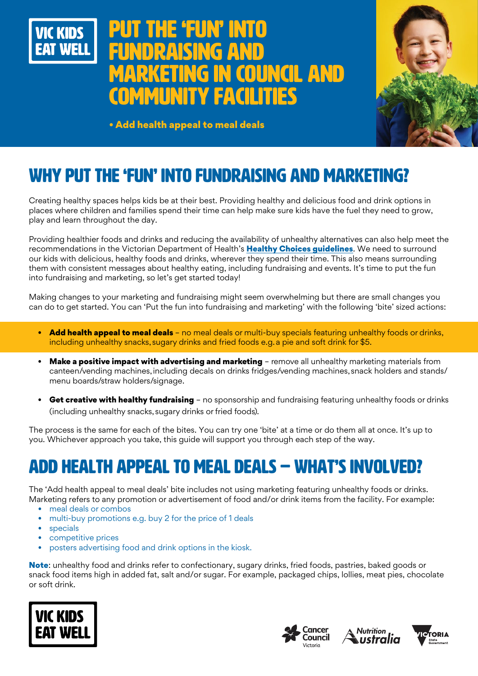

# P 'fin' in fundraising and **COUNCIL AND** community facilities



• Add health appeal to meal deals

## WHY PUT THE 'FUN' INTO FUNDRAISING AND MARKETING?

Creating healthy spaces helps kids be at their best. Providing healthy and delicious food and drink options in places where children and families spend their time can help make sure kids have the fuel they need to grow, play and learn throughout the day.

Providing healthier foods and drinks and reducing the availability of unhealthy alternatives can also help meet the recommendations in the Victorian Department of Health's [Healthy Choices guidelines](https://www.health.vic.gov.au/preventive-health/healthy-choices). We need to surround our kids with delicious, healthy foods and drinks, wherever they spend their time. This also means surrounding them with consistent messages about healthy eating, including fundraising and events. It's time to put the fun into fundraising and marketing, so let's get started today!

Making changes to your marketing and fundraising might seem overwhelming but there are small changes you can do to get started. You can 'Put the fun into fundraising and marketing' with the following 'bite' sized actions:

- Add health appeal to meal deals no meal deals or multi-buy specials featuring unhealthy foods or drinks, including unhealthy snacks, sugary drinks and fried foods e.g. a pie and soft drink for \$5.
- Make a positive impact with advertising and marketing remove all unhealthy marketing materials from canteen/vending machines, including decals on drinks fridges/vending machines, snack holders and stands/ menu boards/straw holders/signage.
- Get creative with healthy fundraising no sponsorship and fundraising featuring unhealthy foods or drinks (including unhealthy snacks, sugary drinks or fried foods).

The process is the same for each of the bites. You can try one 'bite' at a time or do them all at once. It's up to you. Whichever approach you take, this guide will support you through each step of the way.

## ADD HEALTH APPEAL TO MEAL DEALS – WHAT'S INVOLVED?

The 'Add health appeal to meal deals' bite includes not using marketing featuring unhealthy foods or drinks. Marketing refers to any promotion or advertisement of food and/or drink items from the facility. For example:

- meal deals or combos
- multi-buy promotions e.g. buy 2 for the price of 1 deals
- specials
- competitive prices
- posters advertising food and drink options in the kiosk.

Note: unhealthy food and drinks refer to confectionary, sugary drinks, fried foods, pastries, baked goods or snack food items high in added fat, salt and/or sugar. For example, packaged chips, lollies, meat pies, chocolate or soft drink.







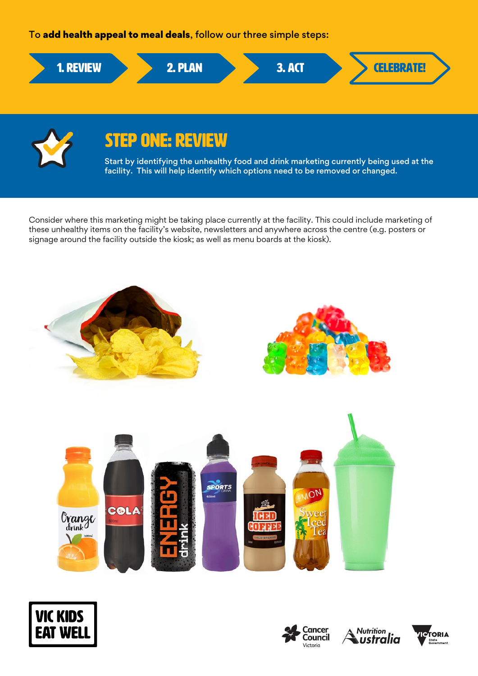#### To add health appeal to meal deals, follow our three simple steps:





## STEP ONE: REVIEW

Start by identifying the unhealthy food and drink marketing currently being used at the facility. This will help identify which options need to be removed or changed.

Consider where this marketing might be taking place currently at the facility. This could include marketing of these unhealthy items on the facility's website, newsletters and anywhere across the centre (e.g. posters or signage around the facility outside the kiosk; as well as menu boards at the kiosk).









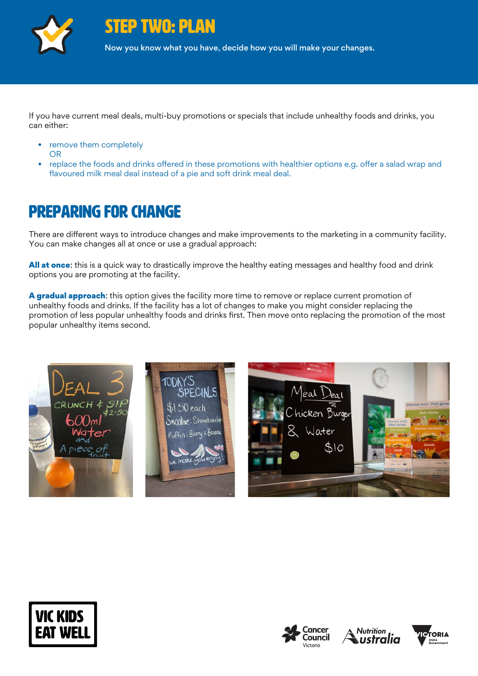

STEP TWO: PLAN

Now you know what you have, decide how you will make your changes.

If you have current meal deals, multi-buy promotions or specials that include unhealthy foods and drinks, you can either:

- remove them completely OR
- replace the foods and drinks offered in these promotions with healthier options e.g. offer a salad wrap and flavoured milk meal deal instead of a pie and soft drink meal deal.

### Preparing for change

There are different ways to introduce changes and make improvements to the marketing in a community facility. You can make changes all at once or use a gradual approach:

All at once: this is a quick way to drastically improve the healthy eating messages and healthy food and drink options you are promoting at the facility.

A gradual approach: this option gives the facility more time to remove or replace current promotion of unhealthy foods and drinks. If the facility has a lot of changes to make you might consider replacing the promotion of less popular unhealthy foods and drinks first. Then move onto replacing the promotion of the most popular unhealthy items second.













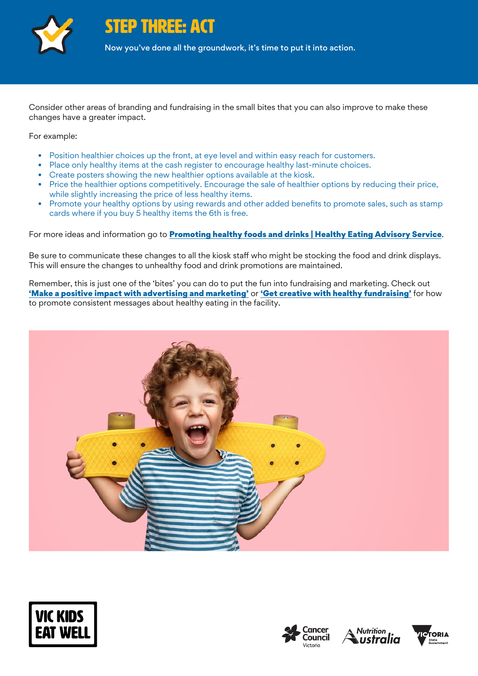

STEP THREE: ACT

Now you've done all the groundwork, it's time to put it into action.

Consider other areas of branding and fundraising in the small bites that you can also improve to make these changes have a greater impact.

For example:

- Position healthier choices up the front, at eye level and within easy reach for customers.
- Place only healthy items at the cash register to encourage healthy last-minute choices.
- Create posters showing the new healthier options available at the kiosk.
- Price the healthier options competitively. Encourage the sale of healthier options by reducing their price, while slightly increasing the price of less healthy items.
- Promote your healthy options by using rewards and other added benefits to promote sales, such as stamp cards where if you buy 5 healthy items the 6th is free.

For more ideas and information go to **[Promoting healthy foods and drinks | Healthy Eating Advisory Service](http://heas.health.vic.gov.au/healthy-choices/promoting-healthier-choices).** 

Be sure to communicate these changes to all the kiosk staff who might be stocking the food and drink displays. This will ensure the changes to unhealthy food and drink promotions are maintained.

Remember, this is just one of the 'bites' you can do to put the fun into fundraising and marketing. Check out ['Make a positive impact with advertising and marketing'](https://www.vickidseatwell.health.vic.gov.au/resources) or ['Get creative with healthy fundraising'](https://www.vickidseatwell.health.vic.gov.au/resources) for how to promote consistent messages about healthy eating in the facility.